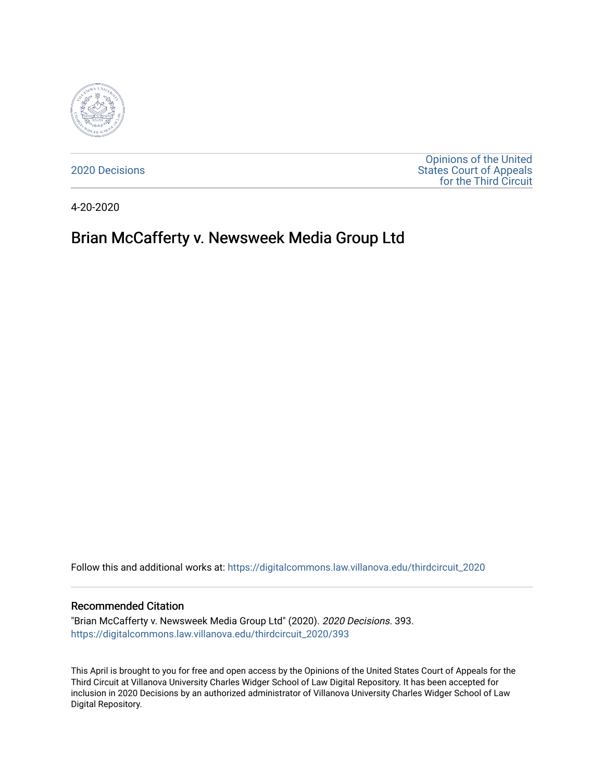

[2020 Decisions](https://digitalcommons.law.villanova.edu/thirdcircuit_2020)

[Opinions of the United](https://digitalcommons.law.villanova.edu/thirdcircuit)  [States Court of Appeals](https://digitalcommons.law.villanova.edu/thirdcircuit)  [for the Third Circuit](https://digitalcommons.law.villanova.edu/thirdcircuit) 

4-20-2020

# Brian McCafferty v. Newsweek Media Group Ltd

Follow this and additional works at: [https://digitalcommons.law.villanova.edu/thirdcircuit\\_2020](https://digitalcommons.law.villanova.edu/thirdcircuit_2020?utm_source=digitalcommons.law.villanova.edu%2Fthirdcircuit_2020%2F393&utm_medium=PDF&utm_campaign=PDFCoverPages) 

#### Recommended Citation

"Brian McCafferty v. Newsweek Media Group Ltd" (2020). 2020 Decisions. 393. [https://digitalcommons.law.villanova.edu/thirdcircuit\\_2020/393](https://digitalcommons.law.villanova.edu/thirdcircuit_2020/393?utm_source=digitalcommons.law.villanova.edu%2Fthirdcircuit_2020%2F393&utm_medium=PDF&utm_campaign=PDFCoverPages)

This April is brought to you for free and open access by the Opinions of the United States Court of Appeals for the Third Circuit at Villanova University Charles Widger School of Law Digital Repository. It has been accepted for inclusion in 2020 Decisions by an authorized administrator of Villanova University Charles Widger School of Law Digital Repository.